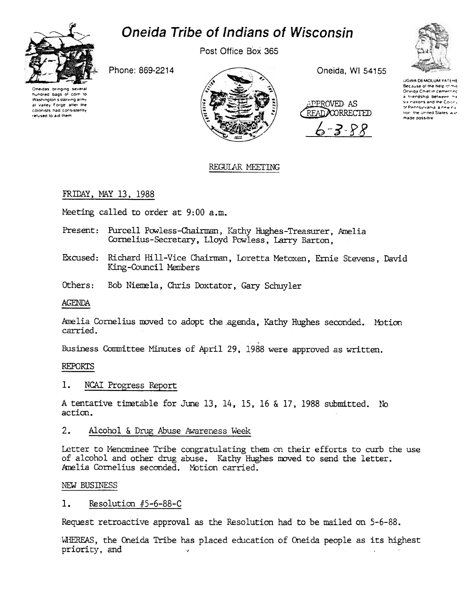

# Oneida Tribe of Indians of Wisconsin

Post Office Box 365

Phone: 869-2214





Oneida, WI 54155





**UGWA DEMOLUM YATEHE** Because of the help of this a friendship between me se nations and the Colony of Pennsylvania, a new na lion, the United States, was made possible

## REGULAR MEETING

## FRIDAY, MAY 13, 1988

Meeting called to order at 9:00 a.m.

- Present: Purcell Powless-Chairman, Kathy Hughes-Treasurer, Amelia Cornelius-Secretary, Lloyd Powless, Larry Barton,
- Excused: Richard Hill-Vice Chairman, Loretta Metoxen, Ernie Stevens, David King-Council Members
- Others: Bob Niemela, Chris Doxtator, Gary Schuyler

AGENDA

Amelia Cornelius moved to adopt the agenda, Kathy Hughes seconded. Motion carried.

Business Committee Minutes of April 29, 1988 were approved as written.

### **REPORTS**

#### 1. NCAI Progress Report

A tentative timetable for June 13, 14, 15, 16 & 17, 1988 submitted. No action.

#### $2.$ Alcohol & Drug Abuse Awareness Week

Letter to Menominee Tribe congratulating them on their efforts to curb the use of alcohol and other drug abuse. Kathy Hughes moved to send the letter. Amelia Cornelius seconded. Motion carried.

### NEW BUSINESS

#### $1.$ Resolution #5-6-88-C

Request retroactive approval as the Resolution had to be mailed on 5-6-88.

WHEREAS, the Oneida Tribe has placed education of Oneida people as its highest priority, and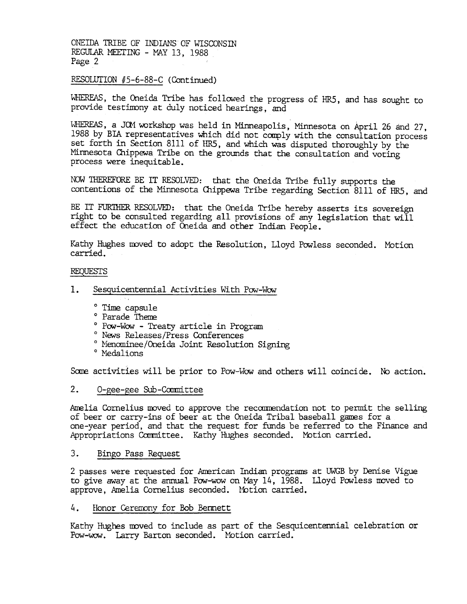#### RESOLUTION #5-6-88-C (Continued)

WHEREAS, the Oneida Tribe has followed the progress of HR5, and has sought to provide testimony at duly noticed hearings, and

WHEREAS, a JOM workshop was held in Minneapolis, Minnesota on April 26 and 27, 1988 by BIA representatives Which did not comply with the consultation process set forth in Section 8111 of IIR5, and which was disputed thoroughly by the Minnesota Chippewa Tribe on the grounds that the consultation and voting process were inequitable.

NOW 111EREFORE BE IT RESOLVED: that the Oneida Tribe fully supports the contentions of the Minnesota Chippewa Tribe regarding Section 8111 of HR5, and

BE IT FURTHER RESOLVED: that the Oneida Tribe hereby asserts its sovereign right to be consulted regarding all provisions of any legislation that will effect the education of Oneida and other Indian People.

Kathy Hughes moved to adopt the Resolution, Lloyd Powless seconded. Motior carried.

#### REQUESTS

- $1.$ Sesquicentennial. Activities With Pow-Wow
	- 0 Time capsule
	- ° Parade Theme
	- ° Pow-Wow Treaty article in Program
	- 0 News Releases/Press Conferences
	- 0 Menominee/Oneida Joint Resolution Signing
	- ° Medalions

Some activities will be prior to Pow-Wow and others will coincide. No action.

#### $2.$ O-gee-gee Sub-Committee

Amelia Cornelius moved to approve the recommendation not to permit the selling of beer or carry-ins of beer at the Oneida Tribal baseball games for a one-year period, and that the request for funds be referred to the Finance and Appropriations Committee. Kathy Hughes seconded. Motion carried.

3. Bingo Pass Reques<br>2 passes were requested<br>to give away at the annuapprove, Amelia Cornelis<br>4. Honor Ceremony for<br>Kathy Hughes moved to in<br>Pow-wow. Larry Barton 2 passes were requested for Arrerican Indian programs at UWGB by Denise Vigue to give away at the annual Pow-wow on May 14, 1988. Lloyd Powless moved to approve, Amelia Cornelius seconded. lbtion carried.

4. Honor Cereroony for Bob Bennett

Kathy Hughes moved to include as part of the Sesquicentennial celebration or Pow-wow. Larry Barton seconded. Motion carried.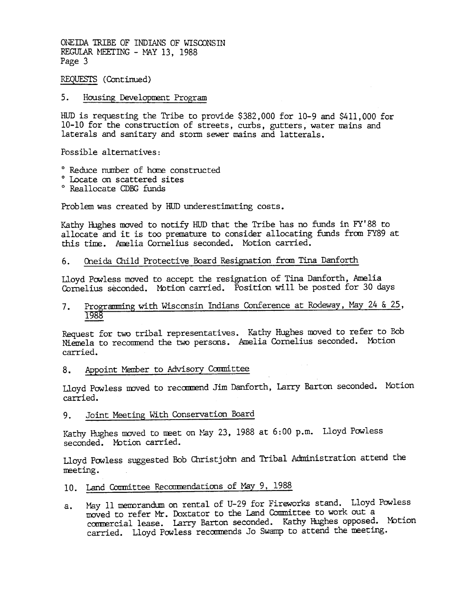REQUFSfS (Continued)

#### 5. Housing Development Program

HUD is requesting the Tribe to provide \$382,000 for 10-9 and \$411,000 for 10-10 for the construction of streets, curbs, gutters, water mains and laterals and sanitary and storm sewer mains and latterals.

Possible alternatives:

- <sup>o</sup> Reduce number of home constructed
- 0 Locate on scattered sites
- 0 Reallocate CDBG funds

Problem was created by HUD underestimating costs.

Kathy Hughes moved to notify HUD that the Tribe has no funds in FY'88 to allocate and it is too premature to consider allocating funds from FY89 at this time. Amelia Cornelius seconded. Motion carried.

6. Oneida Child Protective Board Resignation from Tina Danforth

Lloyd Powless moved to accept the resignation of Tina Danforth, Amelia Cornelius seconded. Mbtion carried. Position will be posted for 30 days

Programming with Wisconsin Indians Conference at Rodeway, May 24 & 25, 7. 1988

Request for two tribal representatives. Kathy Hughes moved to refer to Bob Niemela to reconmend the two persons. Amelia Cornelius seconded. Mbtion carried.

8. Appoint Member to Advisory Committee

Lloyd Powless moved to recommend Jim Danforth, Larry Barton seconded. Motion carried.

9. Joint Meeting With Conservation Board

Kathy Hughes moved to meet on May 23, 1988 at  $6:00$  p.m.  $\,$  Lloyd Powless seconded. Motion carried.

Lloyd Powless suggested Bob Christ john and Tribal Administration attend the meeting.

## 10. Land Committee Recommendations of May 9, 1988

May 11 memorandum on rental of U-29 for Fireworks stand. Lloyd Powless moved to refer Mr. Doxtator to the Land Committee to work out a commercial lease. Larry Barton seconded. Kathy Hughes opposed. Mot: carried. Lloyd Powless recommends Jo Swamp to attend the meeting. a.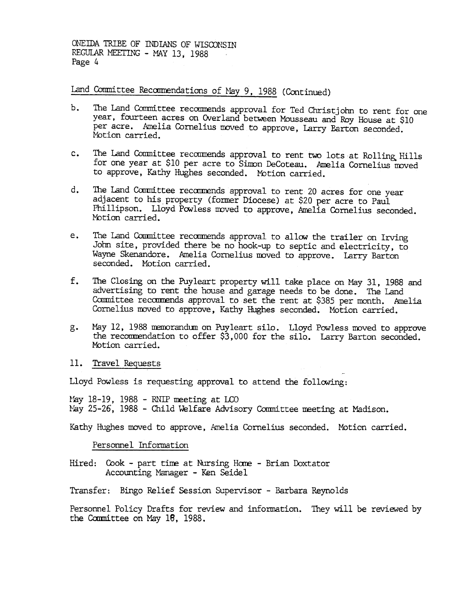Land Committee Recommendations of May 9, 1988 (Continued)

- b. The Land Committee recommends approval for Ted Christjohn to rent for one year, fourteen acres on Overland between Mousseau and Roy House at \$10 per acre. Amelia Cornelius moved to approve, Larry Barton seconded. Motion carried.
- c. The Land Committee recommends approval to rent two lots at Rolling Hills for one year at \$10 per acre to Simon DeCoteau. Amelia Cornelius moved to approve, Kathy Hughes seconded. Motion carried.
- d. The Land Committee recommends approval to rent 20 acres for one year adjacent to his property (former Diocese) at \$20 per acre to Paul Phillipson. Lloyd Powless moved to approve, Amelia Cornelius seconded. Motion carried.
- e. The Land Committee recommends approval to allow the trailer on Irving John site, provided there be no hook-up to septic and electricity, to Wayne Skenandore. Amelia Cornelius moved to approve. Larry Barton seconded. Motion carried.
- $f_{\bullet}$ The Closing on the Puyleart property will take place on May 31, 1988 and advertising to rent the house and garage needs to be done. The land Committee recommends approval to set the rent at \$385 per month. Amelia Cornelius moved to approve, Kathy Hughes seconded. Motion carried.
- May 12, 1988 memorandum on Puyleart silo. Lloyd Powless moved to approve the recommendation to offer \$3,000 for the silo. Larry Barton seconded. Motion carried.  $g_{\bullet}$

### 11. Travel Requests

Lloyd Powless is requesting approval to attend the following:

May 18-19, 1988 - RNIP meeting at LCO May 25-26, 1988 - Child Welfare Advisory Committee meeting at Madison.

Kathy Hughes moved to approve, Amelia Cornelius seconded. Motion carried.

Personnel Information

Hired: Cook - part time at Nursing Home - Brian Doxtator Accounting Manager -Ken Seidel

Transfer: Bingo Relief Session Supervisor - Barbara Reynolds

Personnel Policy Drafts for review and information. They will be reviewed bythe Committee on May 18, 1988.